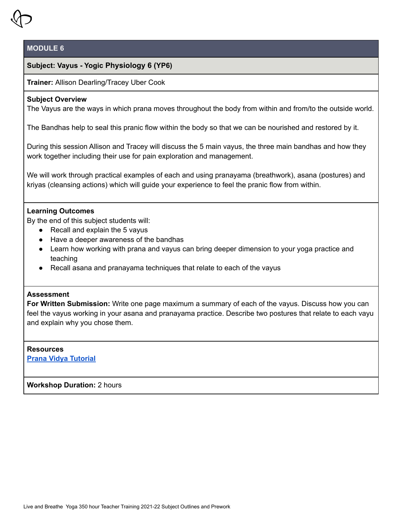

# **Subject: Vayus - Yogic Physiology 6 (YP6)**

### **Trainer:** Allison Dearling/Tracey Uber Cook

### **Subject Overview**

The Vayus are the ways in which prana moves throughout the body from within and from/to the outside world.

The Bandhas help to seal this pranic flow within the body so that we can be nourished and restored by it.

During this session Allison and Tracey will discuss the 5 main vayus, the three main bandhas and how they work together including their use for pain exploration and management.

We will work through practical examples of each and using pranayama (breathwork), asana (postures) and kriyas (cleansing actions) which will guide your experience to feel the pranic flow from within.

# **Learning Outcomes**

By the end of this subject students will:

- $\bullet$  Recall and explain the 5 vayus
- Have a deeper awareness of the bandhas
- Learn how working with prana and vayus can bring deeper dimension to your yoga practice and teaching
- Recall asana and pranayama techniques that relate to each of the vayus

# **Assessment**

**For Written Submission:** Write one page maximum a summary of each of the vayus. Discuss how you can feel the vayus working in your asana and pranayama practice. Describe two postures that relate to each vayu and explain why you chose them.

#### **Resources**

**Prana Vidya [Tutorial](https://youtu.be/uk-VwNqkyIM)**

**Workshop Duration:** 2 hours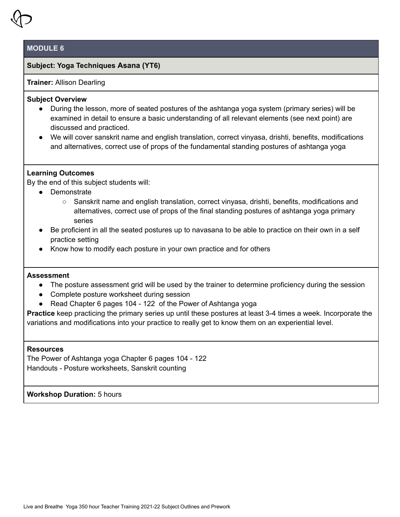

### **Subject: Yoga Techniques Asana (YT6)**

# **Trainer:** Allison Dearling

# **Subject Overview**

- During the lesson, more of seated postures of the ashtanga yoga system (primary series) will be examined in detail to ensure a basic understanding of all relevant elements (see next point) are discussed and practiced.
- We will cover sanskrit name and english translation, correct vinyasa, drishti, benefits, modifications and alternatives, correct use of props of the fundamental standing postures of ashtanga yoga

### **Learning Outcomes**

By the end of this subject students will:

- Demonstrate
	- Sanskrit name and english translation, correct vinyasa, drishti, benefits, modifications and alternatives, correct use of props of the final standing postures of ashtanga yoga primary series
- Be proficient in all the seated postures up to navasana to be able to practice on their own in a self practice setting
- Know how to modify each posture in your own practice and for others

### **Assessment**

- The posture assessment grid will be used by the trainer to determine proficiency during the session
- Complete posture worksheet during session
- Read Chapter 6 pages 104 122 of the Power of Ashtanga yoga

**Practice** keep practicing the primary series up until these postures at least 3-4 times a week. Incorporate the variations and modifications into your practice to really get to know them on an experiential level.

### **Resources**

The Power of Ashtanga yoga Chapter 6 pages 104 - 122 Handouts - Posture worksheets, Sanskrit counting

**Workshop Duration:** 5 hours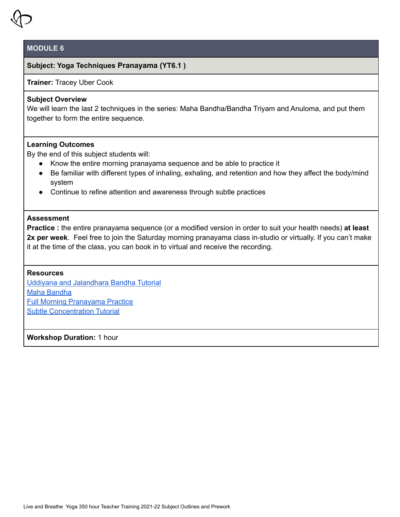# **Subject: Yoga Techniques Pranayama (YT6.1 )**

**Trainer:** Tracey Uber Cook

# **Subject Overview**

We will learn the last 2 techniques in the series: Maha Bandha/Bandha Triyam and Anuloma, and put them together to form the entire sequence.

### **Learning Outcomes**

By the end of this subject students will:

- Know the entire morning pranayama sequence and be able to practice it
- Be familiar with different types of inhaling, exhaling, and retention and how they affect the body/mind system
- Continue to refine attention and awareness through subtle practices

#### **Assessment**

**Practice :** the entire pranayama sequence (or a modified version in order to suit your health needs) **at least 2x per week**. Feel free to join the Saturday morning pranayama class in-studio or virtually. If you can't make it at the time of the class, you can book in to virtual and receive the recording.

### **Resources**

Uddiyana and [Jalandhara](https://youtu.be/RJFSUpgHZ8U) Bandha Tutorial Maha [Bandha](https://youtu.be/CQk4q8V6nRQ) Full Morning [Pranayama](https://youtu.be/uk-VwNqkyIM) Practice Subtle [Concentration](https://youtu.be/2tLLqrK96V8) Tutorial

**Workshop Duration:** 1 hour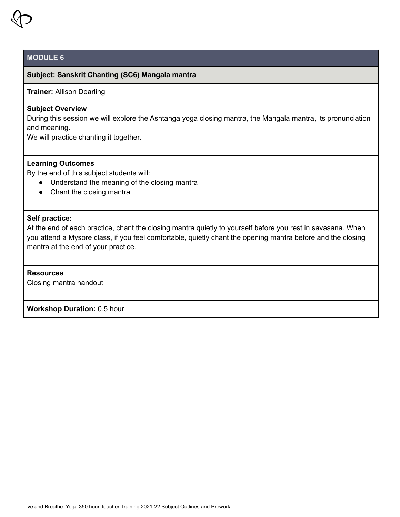

# **Subject: Sanskrit Chanting (SC6) Mangala mantra**

# **Trainer:** Allison Dearling

# **Subject Overview**

During this session we will explore the Ashtanga yoga closing mantra, the Mangala mantra, its pronunciation and meaning.

We will practice chanting it together.

#### **Learning Outcomes**

By the end of this subject students will:

- Understand the meaning of the closing mantra
- Chant the closing mantra

#### **Self practice:**

At the end of each practice, chant the closing mantra quietly to yourself before you rest in savasana. When you attend a Mysore class, if you feel comfortable, quietly chant the opening mantra before and the closing mantra at the end of your practice.

# **Resources**

Closing mantra handout

**Workshop Duration:** 0.5 hour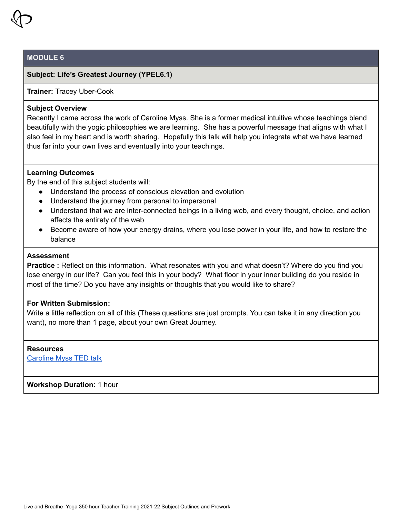

# **Subject: Life's Greatest Journey (YPEL6.1)**

#### **Trainer:** Tracey Uber-Cook

#### **Subject Overview**

Recently I came across the work of Caroline Myss. She is a former medical intuitive whose teachings blend beautifully with the yogic philosophies we are learning. She has a powerful message that aligns with what I also feel in my heart and is worth sharing. Hopefully this talk will help you integrate what we have learned thus far into your own lives and eventually into your teachings.

# **Learning Outcomes**

By the end of this subject students will:

- Understand the process of conscious elevation and evolution
- Understand the journey from personal to impersonal
- Understand that we are inter-connected beings in a living web, and every thought, choice, and action affects the entirety of the web
- Become aware of how your energy drains, where you lose power in your life, and how to restore the balance

# **Assessment**

**Practice**: Reflect on this information. What resonates with you and what doesn't? Where do you find you lose energy in our life? Can you feel this in your body? What floor in your inner building do you reside in most of the time? Do you have any insights or thoughts that you would like to share?

### **For Written Submission:**

Write a little reflection on all of this (These questions are just prompts. You can take it in any direction you want), no more than 1 page, about your own Great Journey.

#### **Resources**

[Caroline](https://youtu.be/-KysuBl2m_w) Myss TED talk

**Workshop Duration:** 1 hour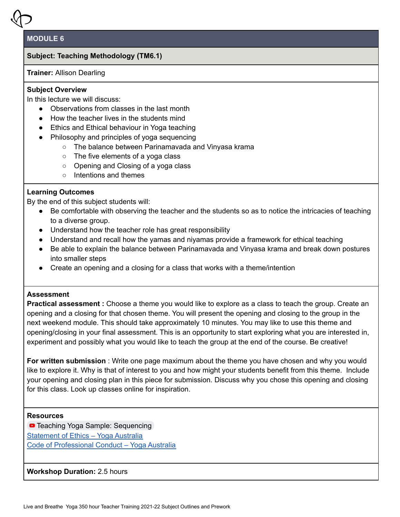# **Subject: Teaching Methodology (TM6.1)**

**Trainer:** Allison Dearling

# **Subject Overview**

In this lecture we will discuss:

- Observations from classes in the last month
- How the teacher lives in the students mind
- Ethics and Ethical behaviour in Yoga teaching
- Philosophy and principles of yoga sequencing
	- The balance between Parinamavada and Vinyasa krama
	- The five elements of a yoga class
	- Opening and Closing of a yoga class
	- Intentions and themes

# **Learning Outcomes**

By the end of this subject students will:

- Be comfortable with observing the teacher and the students so as to notice the intricacies of teaching to a diverse group.
- Understand how the teacher role has great responsibility
- Understand and recall how the yamas and niyamas provide a framework for ethical teaching
- Be able to explain the balance between Parinamavada and Vinyasa krama and break down postures into smaller steps
- Create an opening and a closing for a class that works with a theme/intention

# **Assessment**

**Practical assessment :** Choose a theme you would like to explore as a class to teach the group. Create an opening and a closing for that chosen theme. You will present the opening and closing to the group in the next weekend module. This should take approximately 10 minutes. You may like to use this theme and opening/closing in your final assessment. This is an opportunity to start exploring what you are interested in, experiment and possibly what you would like to teach the group at the end of the course. Be creative!

**For written submission** : Write one page maximum about the theme you have chosen and why you would like to explore it. Why is that of interest to you and how might your students benefit from this theme. Include your opening and closing plan in this piece for submission. Discuss why you chose this opening and closing for this class. Look up classes online for inspiration.

### **Resources**

**D** Teaching Yoga Sample: [Sequencing](https://www.youtube.com/watch?v=EpdrT_7UcFg) [Statement](https://www.yogaaustralia.org.au/statement-of-ethics/) of Ethics – Yoga Australia Code of [Professional](https://www.yogaaustralia.org.au/code-of-professional-conduct/) Conduct – Yoga Australia

**Workshop Duration:** 2.5 hours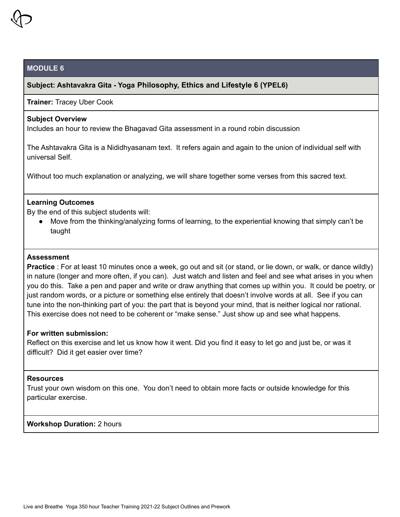# **Subject: Ashtavakra Gita - Yoga Philosophy, Ethics and Lifestyle 6 (YPEL6)**

#### **Trainer:** Tracey Uber Cook

### **Subject Overview**

Includes an hour to review the Bhagavad Gita assessment in a round robin discussion

The Ashtavakra Gita is a Nididhyasanam text. It refers again and again to the union of individual self with universal Self.

Without too much explanation or analyzing, we will share together some verses from this sacred text.

#### **Learning Outcomes**

By the end of this subject students will:

● Move from the thinking/analyzing forms of learning, to the experiential knowing that simply can't be taught

#### **Assessment**

**Practice** : For at least 10 minutes once a week, go out and sit (or stand, or lie down, or walk, or dance wildly) in nature (longer and more often, if you can). Just watch and listen and feel and see what arises in you when you do this. Take a pen and paper and write or draw anything that comes up within you. It could be poetry, or just random words, or a picture or something else entirely that doesn't involve words at all. See if you can tune into the non-thinking part of you: the part that is beyond your mind, that is neither logical nor rational. This exercise does not need to be coherent or "make sense." Just show up and see what happens.

#### **For written submission:**

Reflect on this exercise and let us know how it went. Did you find it easy to let go and just be, or was it difficult? Did it get easier over time?

# **Resources**

Trust your own wisdom on this one. You don't need to obtain more facts or outside knowledge for this particular exercise.

#### **Workshop Duration:** 2 hours